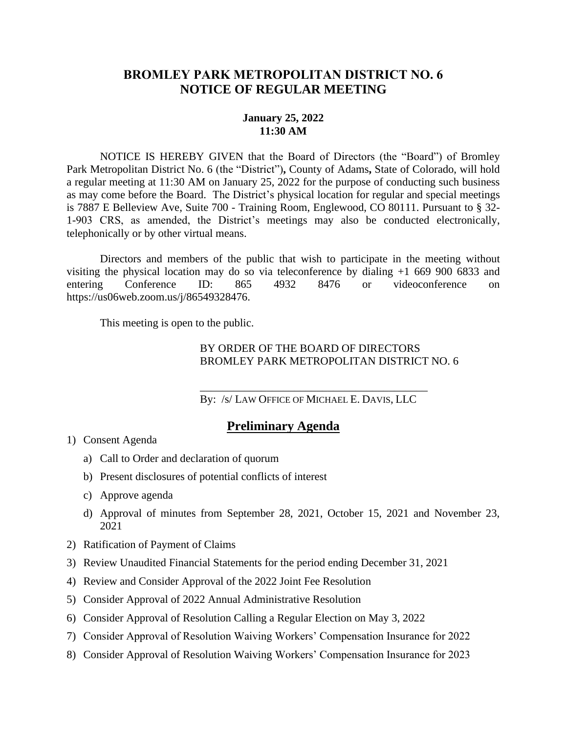## **BROMLEY PARK METROPOLITAN DISTRICT NO. 6 NOTICE OF REGULAR MEETING**

## **January 25, 2022 11:30 AM**

NOTICE IS HEREBY GIVEN that the Board of Directors (the "Board") of Bromley Park Metropolitan District No. 6 (the "District")**,** County of Adams**,** State of Colorado, will hold a regular meeting at 11:30 AM on January 25, 2022 for the purpose of conducting such business as may come before the Board. The District's physical location for regular and special meetings is 7887 E Belleview Ave, Suite 700 - Training Room, Englewood, CO 80111. Pursuant to § 32- 1-903 CRS, as amended, the District's meetings may also be conducted electronically, telephonically or by other virtual means.

Directors and members of the public that wish to participate in the meeting without visiting the physical location may do so via teleconference by dialing +1 669 900 6833 and entering Conference ID: 865 4932 8476 or videoconference on entering Conference ID: 865 4932 8476 or videoconference on https://us06web.zoom.us/j/86549328476.

This meeting is open to the public.

## BY ORDER OF THE BOARD OF DIRECTORS BROMLEY PARK METROPOLITAN DISTRICT NO. 6

\_\_\_\_\_\_\_\_\_\_\_\_\_\_\_\_\_\_\_\_\_\_\_\_\_\_\_\_\_\_\_\_\_\_\_\_\_\_\_\_\_ By: /s/ LAW OFFICE OF MICHAEL E. DAVIS, LLC

## **Preliminary Agenda**

- 1) Consent Agenda
	- a) Call to Order and declaration of quorum
	- b) Present disclosures of potential conflicts of interest
	- c) Approve agenda
	- d) Approval of minutes from September 28, 2021, October 15, 2021 and November 23, 2021
- 2) Ratification of Payment of Claims
- 3) Review Unaudited Financial Statements for the period ending December 31, 2021
- 4) Review and Consider Approval of the 2022 Joint Fee Resolution
- 5) Consider Approval of 2022 Annual Administrative Resolution
- 6) Consider Approval of Resolution Calling a Regular Election on May 3, 2022
- 7) Consider Approval of Resolution Waiving Workers' Compensation Insurance for 2022
- 8) Consider Approval of Resolution Waiving Workers' Compensation Insurance for 2023